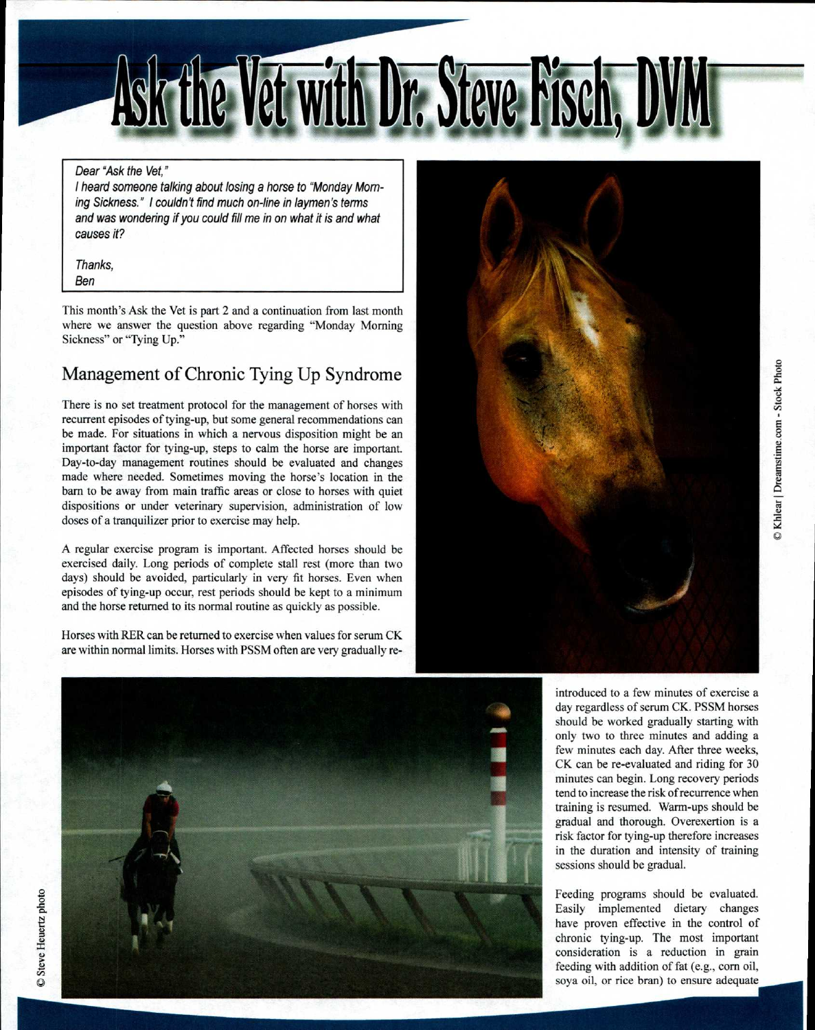

## Dear "Ask the Vet,"

I heard someone talking about losing a horse to "Monday Morning Sickness." I couldn't find much on-line in laymen's terms and was wondering if you could fill me in on what it is and what causes it?

Thanks,

Ben

This month's Ask the Vet is part 2 and a continuation from last month where we answer the question above regarding "Monday Morning Sickness" or "Tying Up."

## Management of Chronic Tying Up Syndrome

There is no set treatment protocol for the management of horses with recurrent episodes of tying-up, but some general recommendations can be made. For situations in which a nervous disposition might be an important factor for tying-up, steps to calm the horse are important. Day-to-day management routines should be evaluated and changes made where needed. Sometimes moving the horse's location in the barn to be away from main traffic areas or close to horses with quiet dispositions or under veterinary supervision, administration of low doses of a tranquilizer prior to exercise may help.

A regular exercise program is important. Affected horses should be exercised daily. Long periods of complete stall rest (more than two days) should be avoided, particularly in very fit horses. Even when episodes of tying-up occur, rest periods should be kept to a minimum and the horse returned to its normal routine as quickly as possible.

Horses with RER can be returned to exercise when values for serum CK are within normal limits. Horses with PSSM often are very gradually re-





introduced to a few minutes of exercise a day regardless of serum CK. PSSM horses should be worked gradually starting with only two to three minutes and adding a few minutes each day. After three weeks, CK can be re-evaluated and riding for 30 minutes can begin. Long recovery periods tend to increase the risk of recurrence when training is resumed. Warm-ups should be gradual and thorough. Overexertion is a risk factor for tying-up therefore increases in the duration and intensity of training sessions should be gradual.

Feeding programs should be evaluated. Easily implemented dietary changes have proven effective in the control of chronic tying-up. The most important consideration is a reduction in grain feeding with addition of fat (e.g., corn oil, soya oil, or rice bran) to ensure adequate